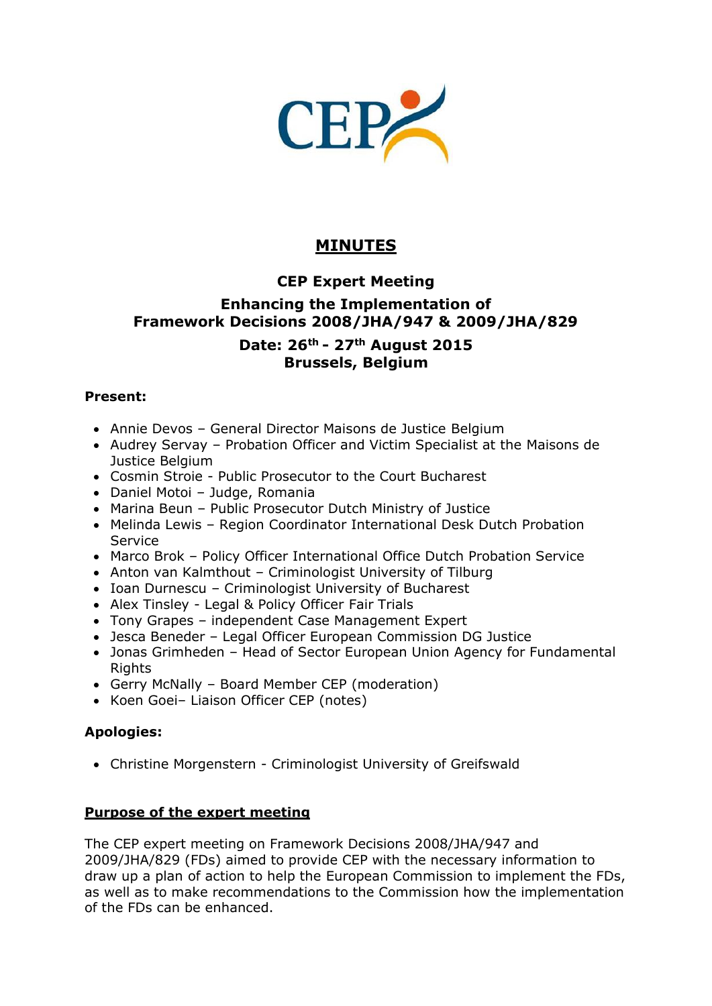

# **MINUTES**

# **CEP Expert Meeting**

# **Enhancing the Implementation of Framework Decisions 2008/JHA/947 & 2009/JHA/829**

## **Date: 26th - 27th August 2015 Brussels, Belgium**

### **Present:**

- Annie Devos General Director Maisons de Justice Belgium
- Audrey Servay Probation Officer and Victim Specialist at the Maisons de Justice Belgium
- Cosmin Stroie Public Prosecutor to the Court Bucharest
- Daniel Motoi Judge, Romania
- Marina Beun Public Prosecutor Dutch Ministry of Justice
- Melinda Lewis Region Coordinator International Desk Dutch Probation **Service**
- Marco Brok Policy Officer International Office Dutch Probation Service
- Anton van Kalmthout Criminologist University of Tilburg
- Ioan Durnescu Criminologist University of Bucharest
- Alex Tinsley Legal & Policy Officer Fair Trials
- Tony Grapes independent Case Management Expert
- Jesca Beneder Legal Officer European Commission DG Justice
- Jonas Grimheden Head of Sector European Union Agency for Fundamental Rights
- Gerry McNally Board Member CEP (moderation)
- Koen Goei- Liaison Officer CEP (notes)

## **Apologies:**

Christine Morgenstern - Criminologist University of Greifswald

## **Purpose of the expert meeting**

The CEP expert meeting on Framework Decisions 2008/JHA/947 and 2009/JHA/829 (FDs) aimed to provide CEP with the necessary information to draw up a plan of action to help the European Commission to implement the FDs, as well as to make recommendations to the Commission how the implementation of the FDs can be enhanced.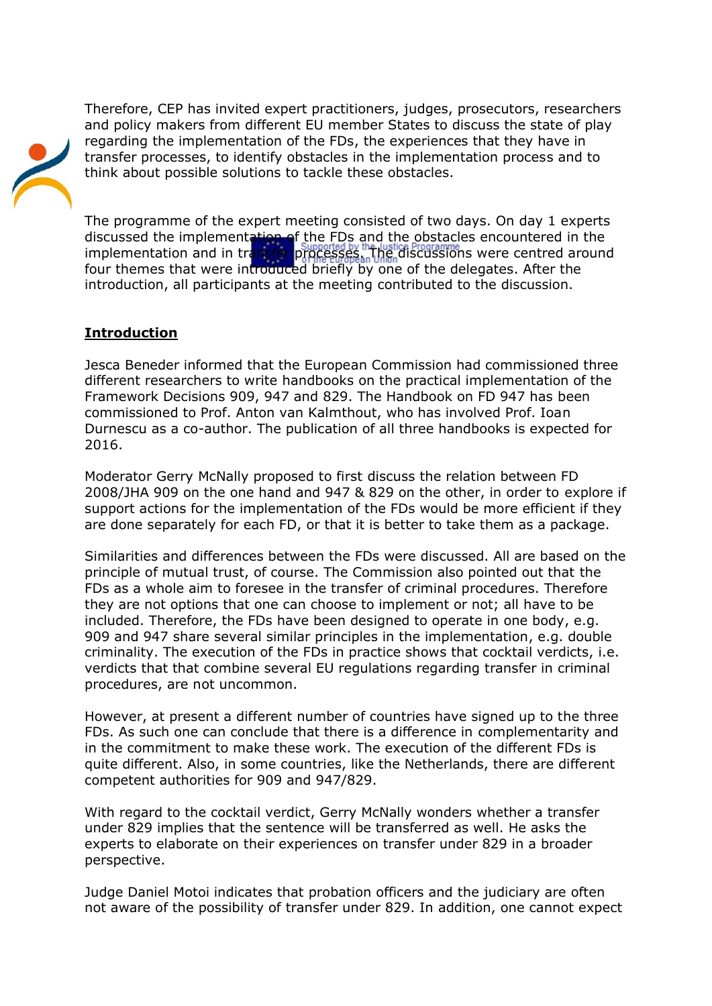Therefore, CEP has invited expert practitioners, judges, prosecutors, researchers and policy makers from different EU member States to discuss the state of play regarding the implementation of the FDs, the experiences that they have in transfer processes, to identify obstacles in the implementation process and to think about possible solutions to tackle these obstacles.



The programme of the expert meeting consisted of two days. On day 1 experts discussed the implementation of the FDs and the obstacles encountered in the implementation and in transfer processes. The discussions were centred around four themes that were introduced briefly by one of the delegates. After the introduction, all participants at the meeting contributed to the discussion.

## **Introduction**

Jesca Beneder informed that the European Commission had commissioned three different researchers to write handbooks on the practical implementation of the Framework Decisions 909, 947 and 829. The Handbook on FD 947 has been commissioned to Prof. Anton van Kalmthout, who has involved Prof. Ioan Durnescu as a co-author. The publication of all three handbooks is expected for 2016.

Moderator Gerry McNally proposed to first discuss the relation between FD 2008/JHA 909 on the one hand and 947 & 829 on the other, in order to explore if support actions for the implementation of the FDs would be more efficient if they are done separately for each FD, or that it is better to take them as a package.

Similarities and differences between the FDs were discussed. All are based on the principle of mutual trust, of course. The Commission also pointed out that the FDs as a whole aim to foresee in the transfer of criminal procedures. Therefore they are not options that one can choose to implement or not; all have to be included. Therefore, the FDs have been designed to operate in one body, e.g. 909 and 947 share several similar principles in the implementation, e.g. double criminality. The execution of the FDs in practice shows that cocktail verdicts, i.e. verdicts that that combine several EU regulations regarding transfer in criminal procedures, are not uncommon.

However, at present a different number of countries have signed up to the three FDs. As such one can conclude that there is a difference in complementarity and in the commitment to make these work. The execution of the different FDs is quite different. Also, in some countries, like the Netherlands, there are different competent authorities for 909 and 947/829.

With regard to the cocktail verdict, Gerry McNally wonders whether a transfer under 829 implies that the sentence will be transferred as well. He asks the experts to elaborate on their experiences on transfer under 829 in a broader perspective.

Judge Daniel Motoi indicates that probation officers and the judiciary are often not aware of the possibility of transfer under 829. In addition, one cannot expect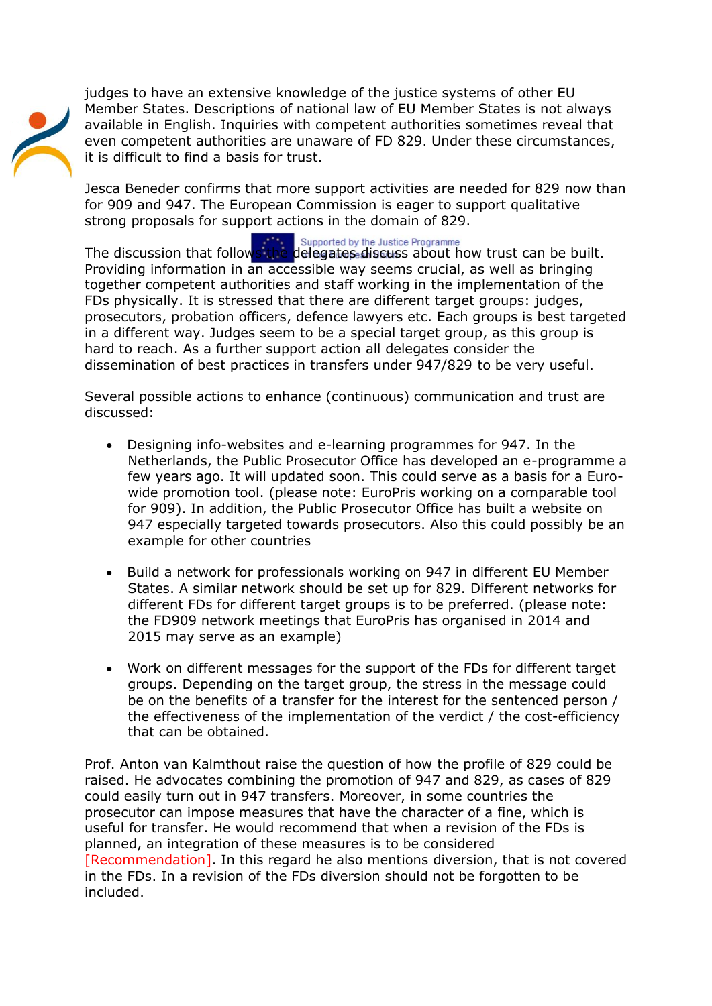judges to have an extensive knowledge of the justice systems of other EU Member States. Descriptions of national law of EU Member States is not always available in English. Inquiries with competent authorities sometimes reveal that even competent authorities are unaware of FD 829. Under these circumstances, it is difficult to find a basis for trust.

Jesca Beneder confirms that more support activities are needed for 829 now than for 909 and 947. The European Commission is eager to support qualitative strong proposals for support actions in the domain of 829.

The discussion that follows the delegates discuss about how trust can be built. Providing information in an accessible way seems crucial, as well as bringing together competent authorities and staff working in the implementation of the FDs physically. It is stressed that there are different target groups: judges, prosecutors, probation officers, defence lawyers etc. Each groups is best targeted in a different way. Judges seem to be a special target group, as this group is hard to reach. As a further support action all delegates consider the dissemination of best practices in transfers under 947/829 to be very useful.

Several possible actions to enhance (continuous) communication and trust are discussed:

- Designing info-websites and e-learning programmes for 947. In the Netherlands, the Public Prosecutor Office has developed an e-programme a few years ago. It will updated soon. This could serve as a basis for a Eurowide promotion tool. (please note: EuroPris working on a comparable tool for 909). In addition, the Public Prosecutor Office has built a website on 947 especially targeted towards prosecutors. Also this could possibly be an example for other countries
- Build a network for professionals working on 947 in different EU Member States. A similar network should be set up for 829. Different networks for different FDs for different target groups is to be preferred. (please note: the FD909 network meetings that EuroPris has organised in 2014 and 2015 may serve as an example)
- Work on different messages for the support of the FDs for different target groups. Depending on the target group, the stress in the message could be on the benefits of a transfer for the interest for the sentenced person / the effectiveness of the implementation of the verdict / the cost-efficiency that can be obtained.

Prof. Anton van Kalmthout raise the question of how the profile of 829 could be raised. He advocates combining the promotion of 947 and 829, as cases of 829 could easily turn out in 947 transfers. Moreover, in some countries the prosecutor can impose measures that have the character of a fine, which is useful for transfer. He would recommend that when a revision of the FDs is planned, an integration of these measures is to be considered [Recommendation]. In this regard he also mentions diversion, that is not covered in the FDs. In a revision of the FDs diversion should not be forgotten to be included.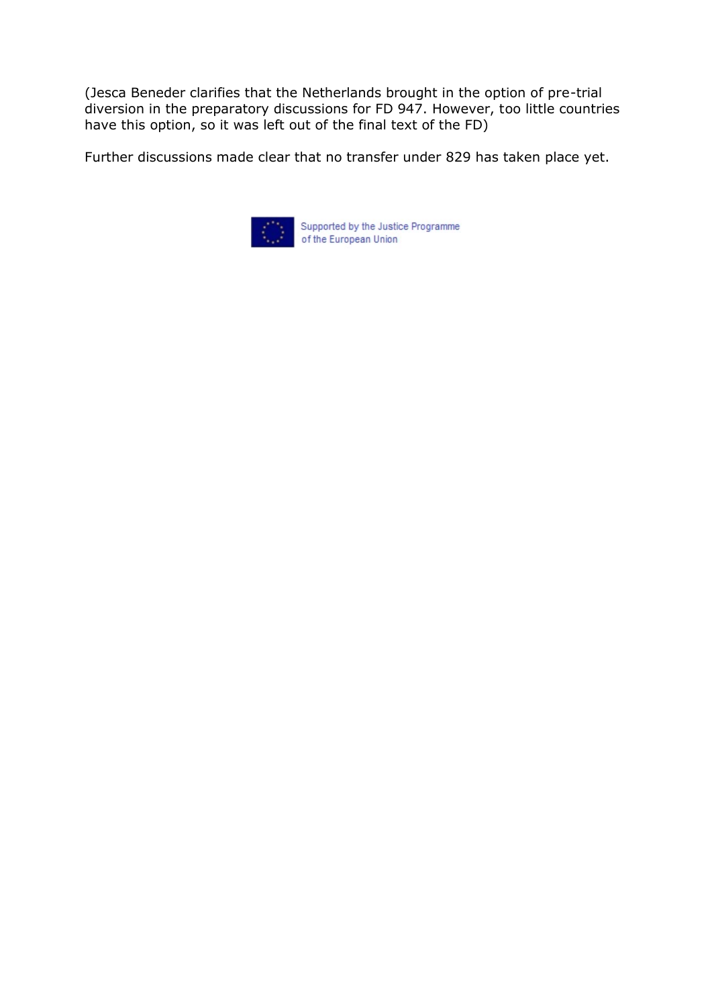(Jesca Beneder clarifies that the Netherlands brought in the option of pre-trial diversion in the preparatory discussions for FD 947. However, too little countries have this option, so it was left out of the final text of the FD)

Further discussions made clear that no transfer under 829 has taken place yet.

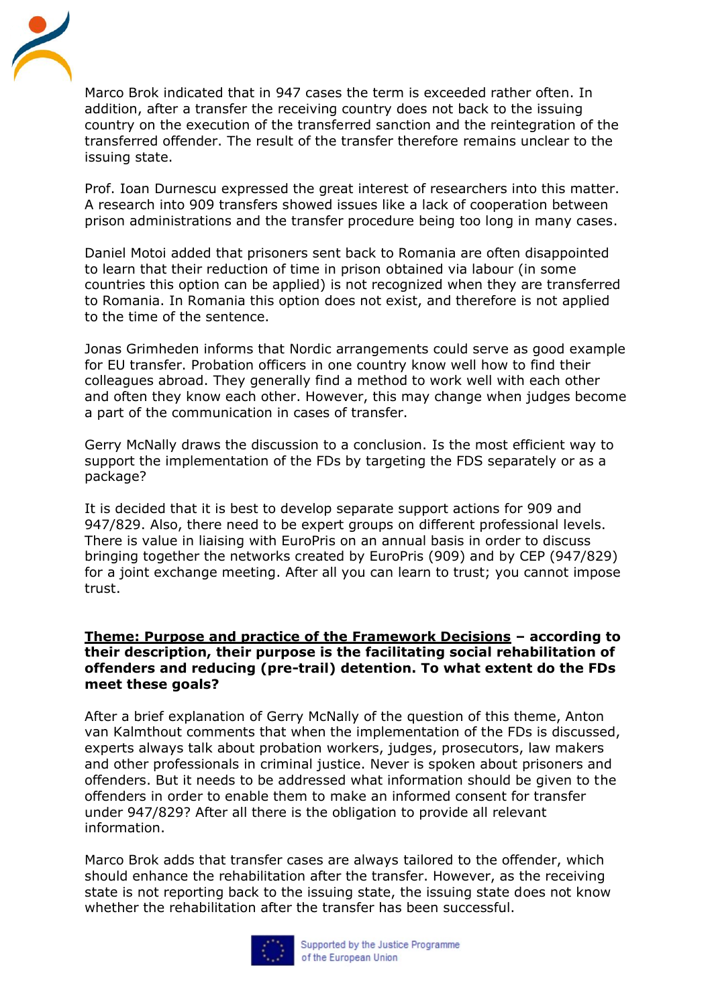

Marco Brok indicated that in 947 cases the term is exceeded rather often. In addition, after a transfer the receiving country does not back to the issuing country on the execution of the transferred sanction and the reintegration of the transferred offender. The result of the transfer therefore remains unclear to the issuing state.

Prof. Ioan Durnescu expressed the great interest of researchers into this matter. A research into 909 transfers showed issues like a lack of cooperation between prison administrations and the transfer procedure being too long in many cases.

Daniel Motoi added that prisoners sent back to Romania are often disappointed to learn that their reduction of time in prison obtained via labour (in some countries this option can be applied) is not recognized when they are transferred to Romania. In Romania this option does not exist, and therefore is not applied to the time of the sentence.

Jonas Grimheden informs that Nordic arrangements could serve as good example for EU transfer. Probation officers in one country know well how to find their colleagues abroad. They generally find a method to work well with each other and often they know each other. However, this may change when judges become a part of the communication in cases of transfer.

Gerry McNally draws the discussion to a conclusion. Is the most efficient way to support the implementation of the FDs by targeting the FDS separately or as a package?

It is decided that it is best to develop separate support actions for 909 and 947/829. Also, there need to be expert groups on different professional levels. There is value in liaising with EuroPris on an annual basis in order to discuss bringing together the networks created by EuroPris (909) and by CEP (947/829) for a joint exchange meeting. After all you can learn to trust; you cannot impose trust.

#### **Theme: Purpose and practice of the Framework Decisions – according to their description, their purpose is the facilitating social rehabilitation of offenders and reducing (pre-trail) detention. To what extent do the FDs meet these goals?**

After a brief explanation of Gerry McNally of the question of this theme, Anton van Kalmthout comments that when the implementation of the FDs is discussed, experts always talk about probation workers, judges, prosecutors, law makers and other professionals in criminal justice. Never is spoken about prisoners and offenders. But it needs to be addressed what information should be given to the offenders in order to enable them to make an informed consent for transfer under 947/829? After all there is the obligation to provide all relevant information.

Marco Brok adds that transfer cases are always tailored to the offender, which should enhance the rehabilitation after the transfer. However, as the receiving state is not reporting back to the issuing state, the issuing state does not know whether the rehabilitation after the transfer has been successful.

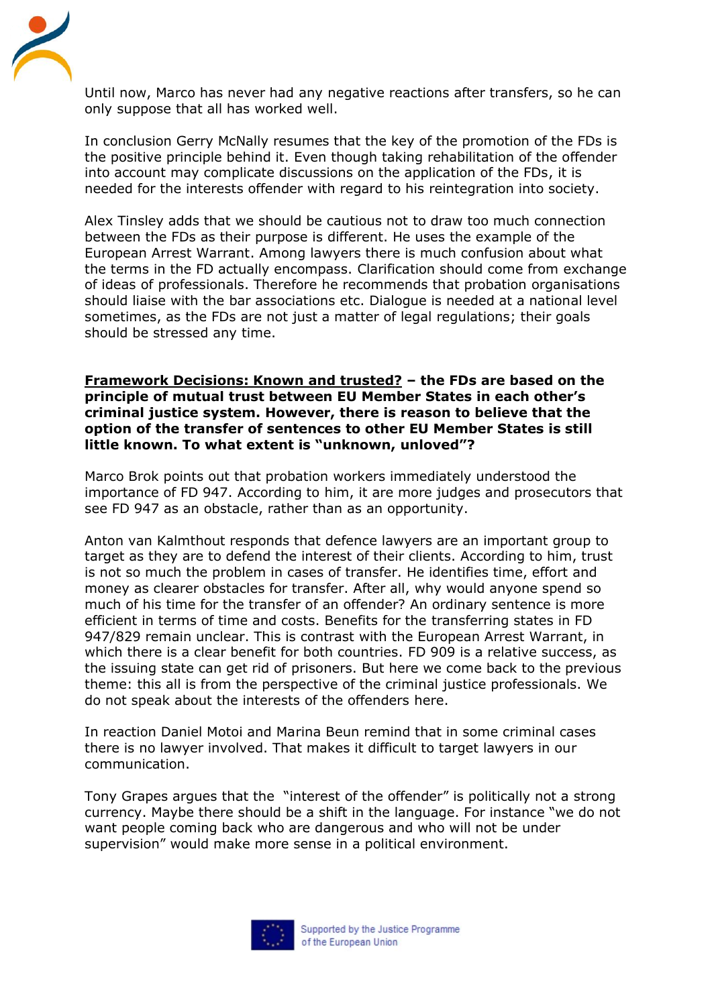

Until now, Marco has never had any negative reactions after transfers, so he can only suppose that all has worked well.

In conclusion Gerry McNally resumes that the key of the promotion of the FDs is the positive principle behind it. Even though taking rehabilitation of the offender into account may complicate discussions on the application of the FDs, it is needed for the interests offender with regard to his reintegration into society.

Alex Tinsley adds that we should be cautious not to draw too much connection between the FDs as their purpose is different. He uses the example of the European Arrest Warrant. Among lawyers there is much confusion about what the terms in the FD actually encompass. Clarification should come from exchange of ideas of professionals. Therefore he recommends that probation organisations should liaise with the bar associations etc. Dialogue is needed at a national level sometimes, as the FDs are not just a matter of legal regulations; their goals should be stressed any time.

#### **Framework Decisions: Known and trusted? – the FDs are based on the principle of mutual trust between EU Member States in each other's criminal justice system. However, there is reason to believe that the option of the transfer of sentences to other EU Member States is still little known. To what extent is "unknown, unloved"?**

Marco Brok points out that probation workers immediately understood the importance of FD 947. According to him, it are more judges and prosecutors that see FD 947 as an obstacle, rather than as an opportunity.

Anton van Kalmthout responds that defence lawyers are an important group to target as they are to defend the interest of their clients. According to him, trust is not so much the problem in cases of transfer. He identifies time, effort and money as clearer obstacles for transfer. After all, why would anyone spend so much of his time for the transfer of an offender? An ordinary sentence is more efficient in terms of time and costs. Benefits for the transferring states in FD 947/829 remain unclear. This is contrast with the European Arrest Warrant, in which there is a clear benefit for both countries. FD 909 is a relative success, as the issuing state can get rid of prisoners. But here we come back to the previous theme: this all is from the perspective of the criminal justice professionals. We do not speak about the interests of the offenders here.

In reaction Daniel Motoi and Marina Beun remind that in some criminal cases there is no lawyer involved. That makes it difficult to target lawyers in our communication.

Tony Grapes argues that the "interest of the offender" is politically not a strong currency. Maybe there should be a shift in the language. For instance "we do not want people coming back who are dangerous and who will not be under supervision" would make more sense in a political environment.

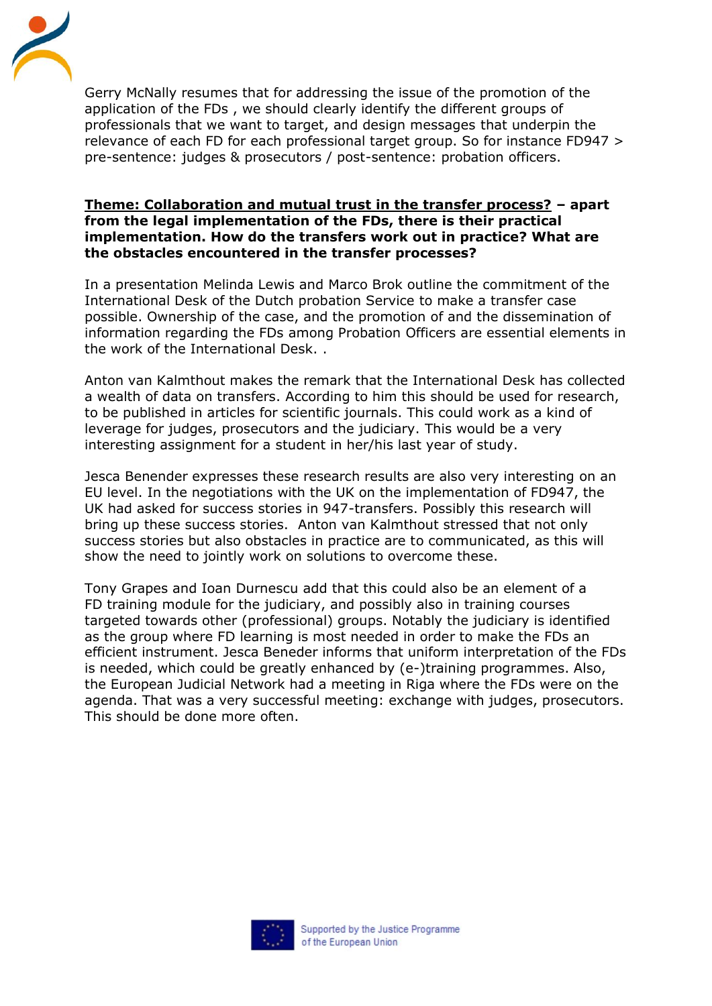

Gerry McNally resumes that for addressing the issue of the promotion of the application of the FDs , we should clearly identify the different groups of professionals that we want to target, and design messages that underpin the relevance of each FD for each professional target group. So for instance FD947 > pre-sentence: judges & prosecutors / post-sentence: probation officers.

#### **Theme: Collaboration and mutual trust in the transfer process? – apart from the legal implementation of the FDs, there is their practical implementation. How do the transfers work out in practice? What are the obstacles encountered in the transfer processes?**

In a presentation Melinda Lewis and Marco Brok outline the commitment of the International Desk of the Dutch probation Service to make a transfer case possible. Ownership of the case, and the promotion of and the dissemination of information regarding the FDs among Probation Officers are essential elements in the work of the International Desk. .

Anton van Kalmthout makes the remark that the International Desk has collected a wealth of data on transfers. According to him this should be used for research, to be published in articles for scientific journals. This could work as a kind of leverage for judges, prosecutors and the judiciary. This would be a very interesting assignment for a student in her/his last year of study.

Jesca Benender expresses these research results are also very interesting on an EU level. In the negotiations with the UK on the implementation of FD947, the UK had asked for success stories in 947-transfers. Possibly this research will bring up these success stories. Anton van Kalmthout stressed that not only success stories but also obstacles in practice are to communicated, as this will show the need to jointly work on solutions to overcome these.

Tony Grapes and Ioan Durnescu add that this could also be an element of a FD training module for the judiciary, and possibly also in training courses targeted towards other (professional) groups. Notably the judiciary is identified as the group where FD learning is most needed in order to make the FDs an efficient instrument. Jesca Beneder informs that uniform interpretation of the FDs is needed, which could be greatly enhanced by (e-)training programmes. Also, the European Judicial Network had a meeting in Riga where the FDs were on the agenda. That was a very successful meeting: exchange with judges, prosecutors. This should be done more often.

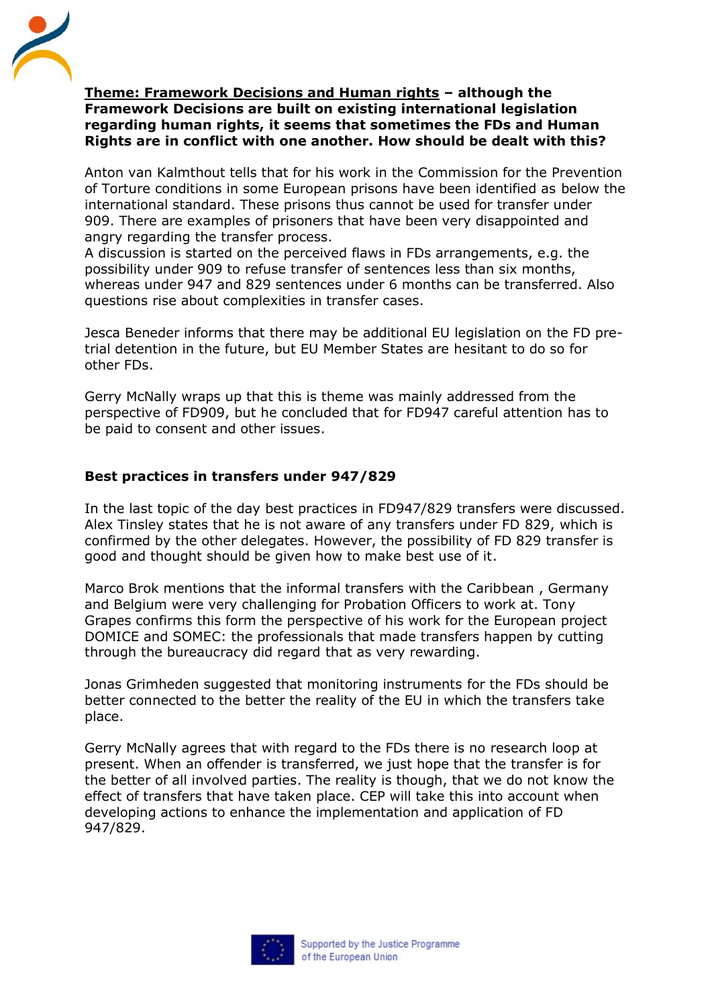

#### **Theme: Framework Decisions and Human rights – although the Framework Decisions are built on existing international legislation regarding human rights, it seems that sometimes the FDs and Human Rights are in conflict with one another. How should be dealt with this?**

Anton van Kalmthout tells that for his work in the Commission for the Prevention of Torture conditions in some European prisons have been identified as below the international standard. These prisons thus cannot be used for transfer under 909. There are examples of prisoners that have been very disappointed and angry regarding the transfer process.

A discussion is started on the perceived flaws in FDs arrangements, e.g. the possibility under 909 to refuse transfer of sentences less than six months, whereas under 947 and 829 sentences under 6 months can be transferred. Also questions rise about complexities in transfer cases.

Jesca Beneder informs that there may be additional EU legislation on the FD pretrial detention in the future, but EU Member States are hesitant to do so for other FDs.

Gerry McNally wraps up that this is theme was mainly addressed from the perspective of FD909, but he concluded that for FD947 careful attention has to be paid to consent and other issues.

### **Best practices in transfers under 947/829**

In the last topic of the day best practices in FD947/829 transfers were discussed. Alex Tinsley states that he is not aware of any transfers under FD 829, which is confirmed by the other delegates. However, the possibility of FD 829 transfer is good and thought should be given how to make best use of it.

Marco Brok mentions that the informal transfers with the Caribbean , Germany and Belgium were very challenging for Probation Officers to work at. Tony Grapes confirms this form the perspective of his work for the European project DOMICE and SOMEC: the professionals that made transfers happen by cutting through the bureaucracy did regard that as very rewarding.

Jonas Grimheden suggested that monitoring instruments for the FDs should be better connected to the better the reality of the EU in which the transfers take place.

Gerry McNally agrees that with regard to the FDs there is no research loop at present. When an offender is transferred, we just hope that the transfer is for the better of all involved parties. The reality is though, that we do not know the effect of transfers that have taken place. CEP will take this into account when developing actions to enhance the implementation and application of FD 947/829.

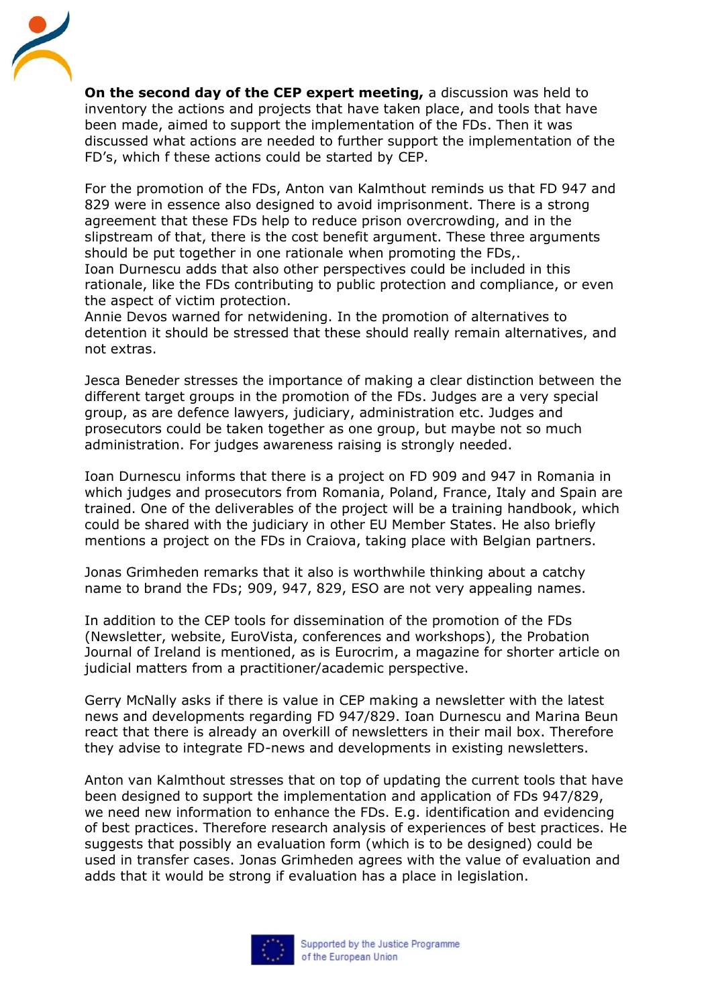

**On the second day of the CEP expert meeting,** a discussion was held to inventory the actions and projects that have taken place, and tools that have been made, aimed to support the implementation of the FDs. Then it was discussed what actions are needed to further support the implementation of the FD's, which f these actions could be started by CEP.

For the promotion of the FDs, Anton van Kalmthout reminds us that FD 947 and 829 were in essence also designed to avoid imprisonment. There is a strong agreement that these FDs help to reduce prison overcrowding, and in the slipstream of that, there is the cost benefit argument. These three arguments should be put together in one rationale when promoting the FDs,. Ioan Durnescu adds that also other perspectives could be included in this rationale, like the FDs contributing to public protection and compliance, or even the aspect of victim protection.

Annie Devos warned for netwidening. In the promotion of alternatives to detention it should be stressed that these should really remain alternatives, and not extras.

Jesca Beneder stresses the importance of making a clear distinction between the different target groups in the promotion of the FDs. Judges are a very special group, as are defence lawyers, judiciary, administration etc. Judges and prosecutors could be taken together as one group, but maybe not so much administration. For judges awareness raising is strongly needed.

Ioan Durnescu informs that there is a project on FD 909 and 947 in Romania in which judges and prosecutors from Romania, Poland, France, Italy and Spain are trained. One of the deliverables of the project will be a training handbook, which could be shared with the judiciary in other EU Member States. He also briefly mentions a project on the FDs in Craiova, taking place with Belgian partners.

Jonas Grimheden remarks that it also is worthwhile thinking about a catchy name to brand the FDs; 909, 947, 829, ESO are not very appealing names.

In addition to the CEP tools for dissemination of the promotion of the FDs (Newsletter, website, EuroVista, conferences and workshops), the Probation Journal of Ireland is mentioned, as is Eurocrim, a magazine for shorter article on judicial matters from a practitioner/academic perspective.

Gerry McNally asks if there is value in CEP making a newsletter with the latest news and developments regarding FD 947/829. Ioan Durnescu and Marina Beun react that there is already an overkill of newsletters in their mail box. Therefore they advise to integrate FD-news and developments in existing newsletters.

Anton van Kalmthout stresses that on top of updating the current tools that have been designed to support the implementation and application of FDs 947/829, we need new information to enhance the FDs. E.g. identification and evidencing of best practices. Therefore research analysis of experiences of best practices. He suggests that possibly an evaluation form (which is to be designed) could be used in transfer cases. Jonas Grimheden agrees with the value of evaluation and adds that it would be strong if evaluation has a place in legislation.